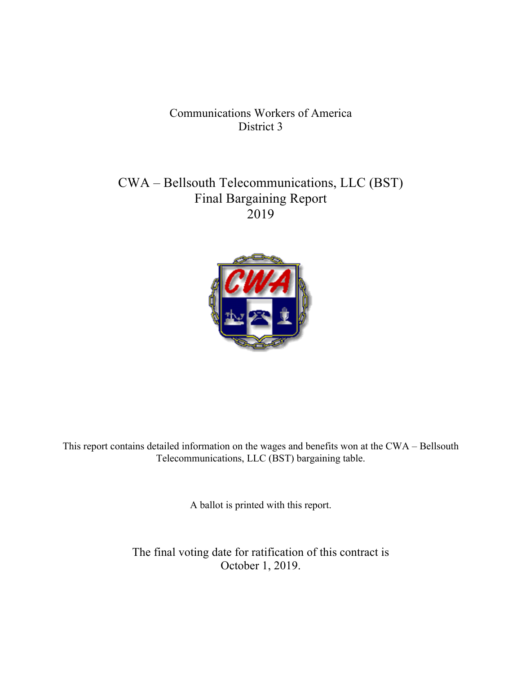# Communications Workers of America District 3

# CWA – Bellsouth Telecommunications, LLC (BST) Final Bargaining Report 2019



This report contains detailed information on the wages and benefits won at the CWA – Bellsouth Telecommunications, LLC (BST) bargaining table.

A ballot is printed with this report.

The final voting date for ratification of this contract is October 1, 2019.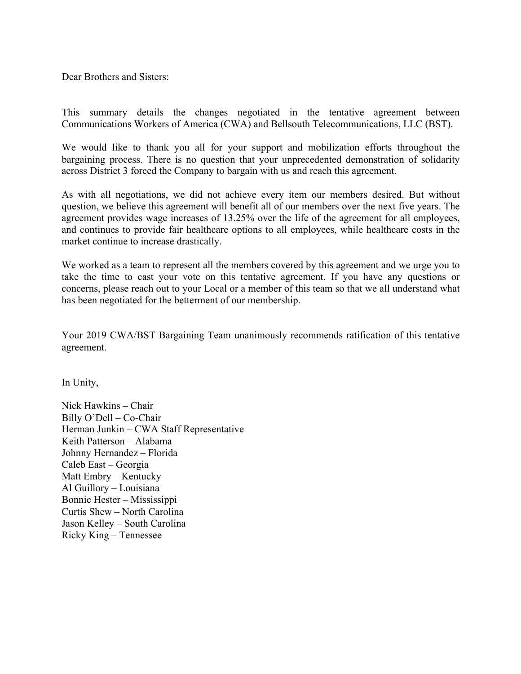Dear Brothers and Sisters:

This summary details the changes negotiated in the tentative agreement between Communications Workers of America (CWA) and Bellsouth Telecommunications, LLC (BST).

We would like to thank you all for your support and mobilization efforts throughout the bargaining process. There is no question that your unprecedented demonstration of solidarity across District 3 forced the Company to bargain with us and reach this agreement.

As with all negotiations, we did not achieve every item our members desired. But without question, we believe this agreement will benefit all of our members over the next five years. The agreement provides wage increases of 13.25% over the life of the agreement for all employees, and continues to provide fair healthcare options to all employees, while healthcare costs in the market continue to increase drastically.

We worked as a team to represent all the members covered by this agreement and we urge you to take the time to cast your vote on this tentative agreement. If you have any questions or concerns, please reach out to your Local or a member of this team so that we all understand what has been negotiated for the betterment of our membership.

Your 2019 CWA/BST Bargaining Team unanimously recommends ratification of this tentative agreement.

In Unity,

Nick Hawkins – Chair Billy O'Dell – Co-Chair Herman Junkin – CWA Staff Representative Keith Patterson – Alabama Johnny Hernandez – Florida Caleb East – Georgia Matt Embry – Kentucky Al Guillory – Louisiana Bonnie Hester – Mississippi Curtis Shew – North Carolina Jason Kelley – South Carolina Ricky King – Tennessee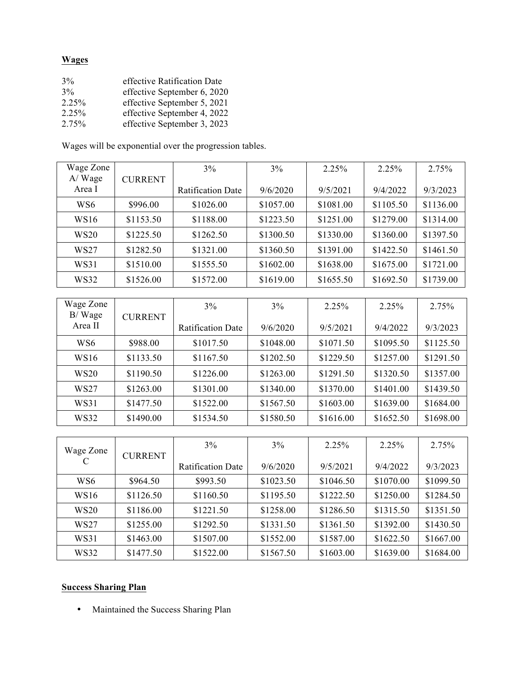# **Wages**

| 3%    | effective Ratification Date |
|-------|-----------------------------|
| 3%    | effective September 6, 2020 |
| 2.25% | effective September 5, 2021 |
| 2.25% | effective September 4, 2022 |
| 2.75% | effective September 3, 2023 |

Wages will be exponential over the progression tables.

| Wage Zone            |                | 3%                       | 3%        | 2.25%     | 2.25%     | 2.75%     |
|----------------------|----------------|--------------------------|-----------|-----------|-----------|-----------|
| $A$ / Wage<br>Area I | <b>CURRENT</b> | <b>Ratification Date</b> | 9/6/2020  | 9/5/2021  | 9/4/2022  | 9/3/2023  |
| WS6                  | \$996.00       | \$1026.00                | \$1057.00 | \$1081.00 | \$1105.50 | \$1136.00 |
| <b>WS16</b>          | \$1153.50      | \$1188.00                | \$1223.50 | \$1251.00 | \$1279.00 | \$1314.00 |
| <b>WS20</b>          | \$1225.50      | \$1262.50                | \$1300.50 | \$1330.00 | \$1360.00 | \$1397.50 |
| WS27                 | \$1282.50      | \$1321.00                | \$1360.50 | \$1391.00 | \$1422.50 | \$1461.50 |
| WS31                 | \$1510.00      | \$1555.50                | \$1602.00 | \$1638.00 | \$1675.00 | \$1721.00 |
| WS32                 | \$1526.00      | \$1572.00                | \$1619.00 | \$1655.50 | \$1692.50 | \$1739.00 |

| Wage Zone<br>B/Wage | <b>CURRENT</b> | 3%                       | 3%        | 2.25%     | 2.25%     | 2.75%     |
|---------------------|----------------|--------------------------|-----------|-----------|-----------|-----------|
| Area II             |                | <b>Ratification Date</b> | 9/6/2020  | 9/5/2021  | 9/4/2022  | 9/3/2023  |
| WS6                 | \$988.00       | \$1017.50                | \$1048.00 | \$1071.50 | \$1095.50 | \$1125.50 |
| <b>WS16</b>         | \$1133.50      | \$1167.50                | \$1202.50 | \$1229.50 | \$1257.00 | \$1291.50 |
| <b>WS20</b>         | \$1190.50      | \$1226.00                | \$1263.00 | \$1291.50 | \$1320.50 | \$1357.00 |
| WS27                | \$1263.00      | \$1301.00                | \$1340.00 | \$1370.00 | \$1401.00 | \$1439.50 |
| WS31                | \$1477.50      | \$1522.00                | \$1567.50 | \$1603.00 | \$1639.00 | \$1684.00 |
| <b>WS32</b>         | \$1490.00      | \$1534.50                | \$1580.50 | \$1616.00 | \$1652.50 | \$1698.00 |

| Wage Zone<br><b>CURRENT</b> |           | 3%                       | 3%        | 2.25%     | 2.25%     | 2.75%     |
|-----------------------------|-----------|--------------------------|-----------|-----------|-----------|-----------|
|                             |           | <b>Ratification Date</b> | 9/6/2020  | 9/5/2021  | 9/4/2022  | 9/3/2023  |
| WS <sub>6</sub>             | \$964.50  | \$993.50                 | \$1023.50 | \$1046.50 | \$1070.00 | \$1099.50 |
| WS16                        | \$1126.50 | \$1160.50                | \$1195.50 | \$1222.50 | \$1250.00 | \$1284.50 |
| <b>WS20</b>                 | \$1186.00 | \$1221.50                | \$1258.00 | \$1286.50 | \$1315.50 | \$1351.50 |
| WS27                        | \$1255.00 | \$1292.50                | \$1331.50 | \$1361.50 | \$1392.00 | \$1430.50 |
| WS31                        | \$1463.00 | \$1507.00                | \$1552.00 | \$1587.00 | \$1622.50 | \$1667.00 |
| <b>WS32</b>                 | \$1477.50 | \$1522.00                | \$1567.50 | \$1603.00 | \$1639.00 | \$1684.00 |

# **Success Sharing Plan**

• Maintained the Success Sharing Plan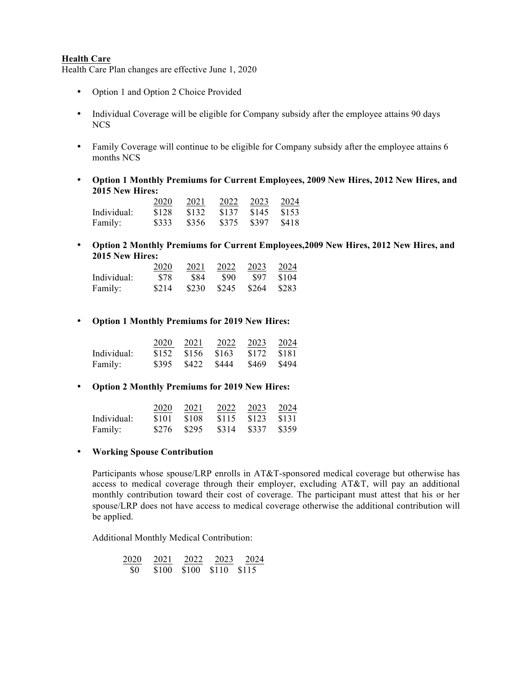#### **Health Care**

Health Care Plan changes are effective June 1, 2020

- Option 1 and Option 2 Choice Provided
- Individual Coverage will be eligible for Company subsidy after the employee attains 90 days NCS
- Family Coverage will continue to be eligible for Company subsidy after the employee attains 6 months NCS
- **Option 1 Monthly Premiums for Current Employees, 2009 New Hires, 2012 New Hires, and 2015 New Hires:**

|             | 2020  | 2021  | 2022  | 2023                | 2024   |
|-------------|-------|-------|-------|---------------------|--------|
| Individual: | \$128 | \$132 | \$137 | $\frac{1}{2}$ \$145 | \$153  |
| Family:     | \$333 | \$356 | \$375 | \$397               | - S418 |

• **Option 2 Monthly Premiums for Current Employees,2009 New Hires, 2012 New Hires, and 2015 New Hires:**

|             | 2020  | 2021       | 2022  | 2023  | 2024  |
|-------------|-------|------------|-------|-------|-------|
| Individual: | \$78  | <b>S84</b> | -890  | -S97  | \$104 |
| Family:     | \$214 | \$230      | \$245 | \$264 | \$283 |

• **Option 1 Monthly Premiums for 2019 New Hires:**

|             | 2020  | 2021      | 2022  | 2023  | 2024  |
|-------------|-------|-----------|-------|-------|-------|
| Individual: | \$152 | \$156     | \$163 | \$172 | -8181 |
| Family:     | \$395 | S422 S444 |       | \$469 | \$494 |

• **Option 2 Monthly Premiums for 2019 New Hires:**

|             | 2020  | 2021  | 2022  | 2023  | 2024  |
|-------------|-------|-------|-------|-------|-------|
| Individual: | \$101 | \$108 | \$115 | \$123 | \$131 |
| Family:     | \$276 | \$295 | \$314 | \$337 | \$359 |

• **Working Spouse Contribution**

Participants whose spouse/LRP enrolls in AT&T-sponsored medical coverage but otherwise has access to medical coverage through their employer, excluding AT&T, will pay an additional monthly contribution toward their cost of coverage. The participant must attest that his or her spouse/LRP does not have access to medical coverage otherwise the additional contribution will be applied.

Additional Monthly Medical Contribution:

$$
\frac{2020}{\$0} \quad \frac{2021}{\$100} \quad \frac{2022}{\$100} \quad \frac{2023}{\$110} \quad \frac{2023}{\$115}
$$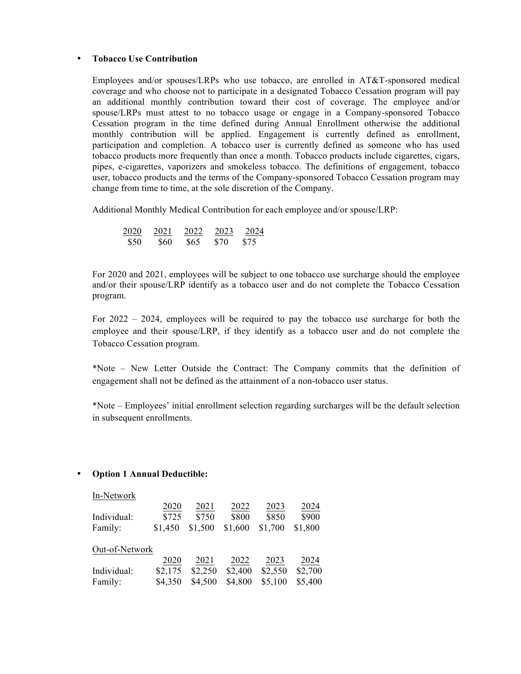#### • **Tobacco Use Contribution**

Employees and/or spouses/LRPs who use tobacco, are enrolled in AT&T-sponsored medical coverage and who choose not to participate in a designated Tobacco Cessation program will pay an additional monthly contribution toward their cost of coverage. The employee and/or spouse/LRPs must attest to no tobacco usage or engage in a Company-sponsored Tobacco Cessation program in the time defined during Annual Enrollment otherwise the additional monthly contribution will be applied. Engagement is currently defined as enrollment, participation and completion. A tobacco user is currently defined as someone who has used tobacco products more frequently than once a month. Tobacco products include cigarettes, cigars, pipes, e-cigarettes, vaporizers and smokeless tobacco. The definitions of engagement, tobacco user, tobacco products and the terms of the Company-sponsored Tobacco Cessation program may change from time to time, at the sole discretion of the Company.

Additional Monthly Medical Contribution for each employee and/or spouse/LRP:

| 2020 | 2021       | 2022 | 2023 | 2024            |
|------|------------|------|------|-----------------|
| \$50 | <b>S60</b> | \$65 | \$70 | S <sub>75</sub> |

For 2020 and 2021, employees will be subject to one tobacco use surcharge should the employee and/or their spouse/LRP identify as a tobacco user and do not complete the Tobacco Cessation program.

For 2022 – 2024, employees will be required to pay the tobacco use surcharge for both the employee and their spouse/LRP, if they identify as a tobacco user and do not complete the Tobacco Cessation program.

\*Note – New Letter Outside the Contract: The Company commits that the definition of engagement shall not be defined as the attainment of a non-tobacco user status.

\*Note – Employees' initial enrollment selection regarding surcharges will be the default selection in subsequent enrollments.

### • **Option 1 Annual Deductible:**

| In-Network     |         |         |         |         |         |
|----------------|---------|---------|---------|---------|---------|
|                | 2020    | 2021    | 2022    | 2023    | 2024    |
| Individual:    | \$725   | \$750   | \$800   | \$850   | \$900   |
| Family:        | \$1,450 | \$1,500 | \$1,600 | \$1,700 | \$1,800 |
| Out-of-Network |         |         |         |         |         |
|                | 2020    | 2021    | 2022    | 2023    | 2024    |
| Individual:    | \$2,175 | \$2,250 | \$2,400 | \$2,550 | \$2,700 |
| Family:        | \$4,350 | \$4,500 | \$4,800 | \$5,100 | \$5,400 |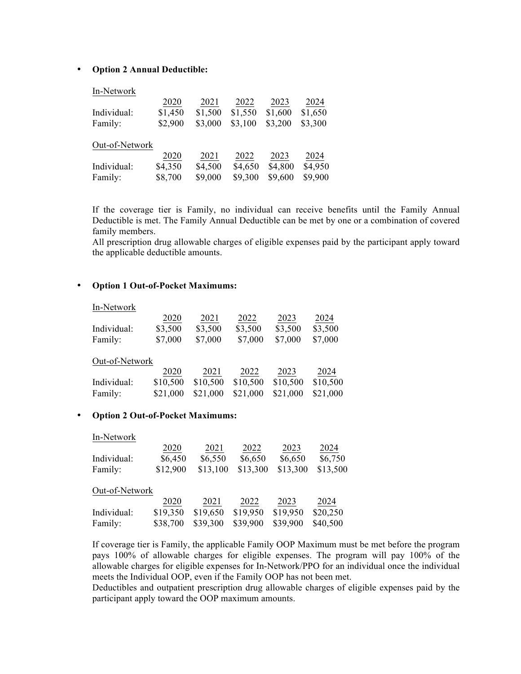#### • **Option 2 Annual Deductible:**

#### In-Network

|                | 2020    | 2021    | 2022    | 2023    | 2024    |
|----------------|---------|---------|---------|---------|---------|
| Individual:    | \$1,450 | \$1,500 | \$1,550 | \$1,600 | \$1,650 |
| Family:        | \$2,900 | \$3,000 | \$3,100 | \$3,200 | \$3,300 |
|                |         |         |         |         |         |
| Out-of-Network |         |         |         |         |         |
|                | 2020    | 2021    | 2022    | 2023    | 2024    |
| Individual:    | \$4,350 | \$4,500 | \$4,650 | \$4,800 | \$4,950 |

If the coverage tier is Family, no individual can receive benefits until the Family Annual Deductible is met. The Family Annual Deductible can be met by one or a combination of covered family members.

All prescription drug allowable charges of eligible expenses paid by the participant apply toward the applicable deductible amounts.

#### • **Option 1 Out-of-Pocket Maximums:**

| In-Network     |          |          |                  |          |          |
|----------------|----------|----------|------------------|----------|----------|
|                | 2020     | 2021     | 2022             | 2023     | 2024     |
| Individual:    | \$3,500  | \$3,500  | \$3,500          | \$3,500  | \$3,500  |
| Family:        | \$7,000  | \$7,000  | \$7,000          | \$7,000  | \$7,000  |
| Out-of-Network |          |          |                  |          |          |
|                | 2020     | 2021     |                  | 2023     | 2024     |
| Individual:    |          |          |                  |          | \$10,500 |
| Family:        | \$21,000 | \$21,000 | \$21,000         | \$21,000 | \$21,000 |
|                | \$10,500 | \$10,500 | 2022<br>\$10,500 | \$10,500 |          |

#### • **Option 2 Out-of-Pocket Maximums:**

| In-Network     |          |          |          |          |          |
|----------------|----------|----------|----------|----------|----------|
|                | 2020     | 2021     | 2022     | 2023     | 2024     |
| Individual:    | \$6,450  | \$6,550  | \$6,650  | \$6,650  | \$6,750  |
| Family:        | \$12,900 | \$13,100 | \$13,300 | \$13,300 | \$13,500 |
| Out-of-Network |          |          |          |          |          |
|                | 2020     | 2021     | 2022     | 2023     | 2024     |
| Individual:    | \$19,350 | \$19,650 | \$19,950 | \$19,950 | \$20,250 |
| Family:        | \$38,700 | \$39,300 | \$39,900 | \$39,900 | \$40,500 |

If coverage tier is Family, the applicable Family OOP Maximum must be met before the program pays 100% of allowable charges for eligible expenses. The program will pay 100% of the allowable charges for eligible expenses for In-Network/PPO for an individual once the individual meets the Individual OOP, even if the Family OOP has not been met.

Deductibles and outpatient prescription drug allowable charges of eligible expenses paid by the participant apply toward the OOP maximum amounts.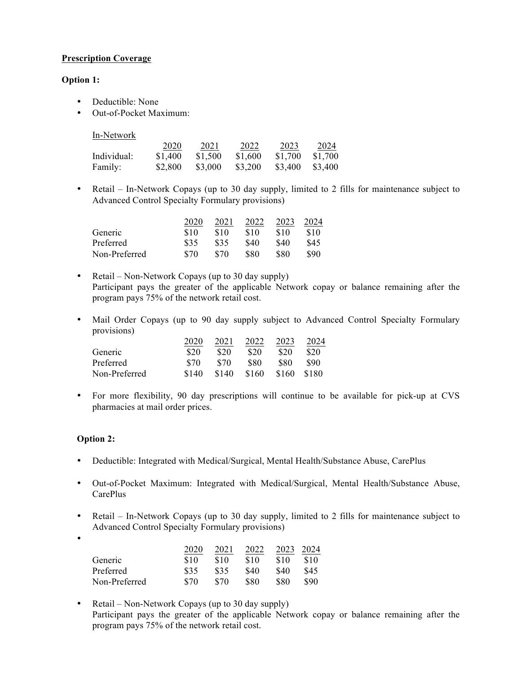## **Prescription Coverage**

## **Option 1:**

- Deductible: None
- Out-of-Pocket Maximum:

| In-Network |
|------------|
|            |

|             | 2020    | 2021    | 2022    | 2023    | 2024    |
|-------------|---------|---------|---------|---------|---------|
| Individual: | \$1,400 | \$1.500 | \$1,600 | \$1.700 | \$1.700 |
| Family:     | \$2,800 | \$3,000 | \$3,200 | \$3,400 | \$3.400 |

• Retail – In-Network Copays (up to 30 day supply, limited to 2 fills for maintenance subject to Advanced Control Specialty Formulary provisions)

|               | 2020 | 2021 | 2022 | 2023 | 2024 |
|---------------|------|------|------|------|------|
| Generic       | \$10 | \$10 | \$10 | \$10 | \$10 |
| Preferred     | \$35 | \$35 | \$40 | \$40 | \$45 |
| Non-Preferred | \$70 | \$70 | \$80 | \$80 | 890  |

- Retail Non-Network Copays (up to 30 day supply) Participant pays the greater of the applicable Network copay or balance remaining after the program pays 75% of the network retail cost.
- Mail Order Copays (up to 90 day supply subject to Advanced Control Specialty Formulary provisions)

|               | 2020  | 2021  | 2022  | 2023  | 2024  |
|---------------|-------|-------|-------|-------|-------|
| Generic       | \$20  | \$20  | \$20  | \$20  | \$20  |
| Preferred     | \$70  | \$70  | \$80  | \$80  | \$90  |
| Non-Preferred | \$140 | \$140 | \$160 | \$160 | \$180 |

• For more flexibility, 90 day prescriptions will continue to be available for pick-up at CVS pharmacies at mail order prices.

## **Option 2:**

- Deductible: Integrated with Medical/Surgical, Mental Health/Substance Abuse, CarePlus
- Out-of-Pocket Maximum: Integrated with Medical/Surgical, Mental Health/Substance Abuse, CarePlus
- Retail In-Network Copays (up to 30 day supply, limited to 2 fills for maintenance subject to Advanced Control Specialty Formulary provisions)
- •

|               | 2020 | 2021 | 2022 | 2023 | 2024 |
|---------------|------|------|------|------|------|
| Generic       | \$10 | \$10 | \$10 | \$10 | \$10 |
| Preferred     | \$35 | \$35 | \$40 | S40  | \$45 |
| Non-Preferred | \$70 | \$70 | 880  | \$80 | 890  |

• Retail – Non-Network Copays (up to 30 day supply) Participant pays the greater of the applicable Network copay or balance remaining after the program pays 75% of the network retail cost.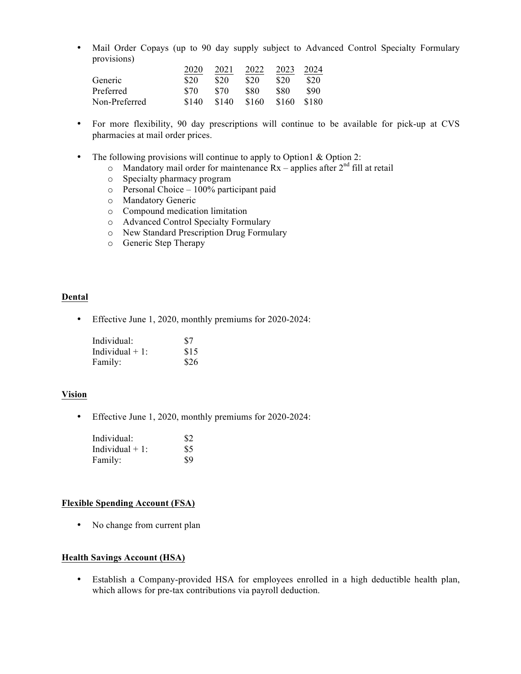• Mail Order Copays (up to 90 day supply subject to Advanced Control Specialty Formulary provisions)

|               | 2020  | 2021  | 2022  | 2023  | 2024  |
|---------------|-------|-------|-------|-------|-------|
| Generic       | \$20  | \$20  | \$20  | \$20  | \$20  |
| Preferred     | \$70  | \$70  | \$80  | \$80  | \$90  |
| Non-Preferred | \$140 | \$140 | \$160 | \$160 | \$180 |

- For more flexibility, 90 day prescriptions will continue to be available for pick-up at CVS pharmacies at mail order prices.
- The following provisions will continue to apply to Option 1 & Option 2:
	- $\circ$  Mandatory mail order for maintenance Rx applies after  $2<sup>nd</sup>$  fill at retail
	- o Specialty pharmacy program
	- o Personal Choice 100% participant paid
	- o Mandatory Generic
	- o Compound medication limitation
	- o Advanced Control Specialty Formulary
	- o New Standard Prescription Drug Formulary
	- o Generic Step Therapy

## **Dental**

• Effective June 1, 2020, monthly premiums for 2020-2024:

| Individual:       | \$7  |
|-------------------|------|
| Individual $+1$ : | \$15 |
| Family:           | \$26 |

#### **Vision**

• Effective June 1, 2020, monthly premiums for 2020-2024:

| Individual:       | \$2 |
|-------------------|-----|
| Individual $+1$ : | \$5 |
| Family:           | \$9 |

#### **Flexible Spending Account (FSA)**

• No change from current plan

#### **Health Savings Account (HSA)**

• Establish a Company-provided HSA for employees enrolled in a high deductible health plan, which allows for pre-tax contributions via payroll deduction.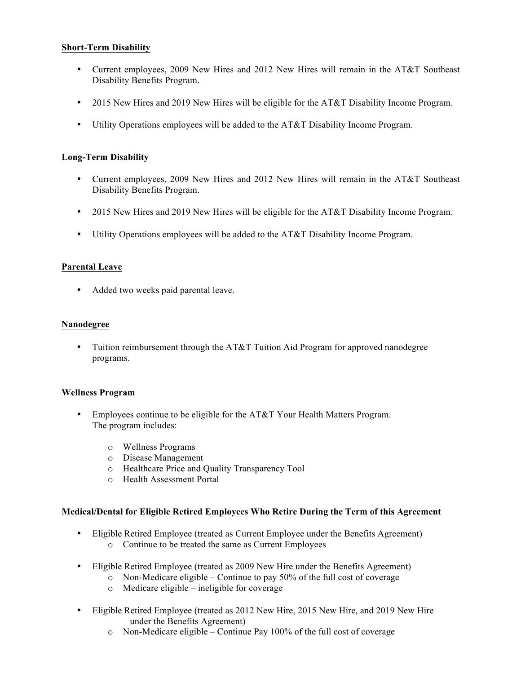## **Short-Term Disability**

- Current employees, 2009 New Hires and 2012 New Hires will remain in the AT&T Southeast Disability Benefits Program.
- 2015 New Hires and 2019 New Hires will be eligible for the AT&T Disability Income Program.
- Utility Operations employees will be added to the AT&T Disability Income Program.

## **Long-Term Disability**

- Current employees, 2009 New Hires and 2012 New Hires will remain in the AT&T Southeast Disability Benefits Program.
- 2015 New Hires and 2019 New Hires will be eligible for the AT&T Disability Income Program.
- Utility Operations employees will be added to the AT&T Disability Income Program.

## **Parental Leave**

• Added two weeks paid parental leave.

#### **Nanodegree**

• Tuition reimbursement through the AT&T Tuition Aid Program for approved nanodegree programs.

### **Wellness Program**

- Employees continue to be eligible for the AT&T Your Health Matters Program. The program includes:
	- o Wellness Programs
	- o Disease Management
	- o Healthcare Price and Quality Transparency Tool
	- o Health Assessment Portal

### **Medical/Dental for Eligible Retired Employees Who Retire During the Term of this Agreement**

- Eligible Retired Employee (treated as Current Employee under the Benefits Agreement) o Continue to be treated the same as Current Employees
- Eligible Retired Employee (treated as 2009 New Hire under the Benefits Agreement)
	- $\circ$  Non-Medicare eligible Continue to pay 50% of the full cost of coverage
	- o Medicare eligible ineligible for coverage
- Eligible Retired Employee (treated as 2012 New Hire, 2015 New Hire, and 2019 New Hire under the Benefits Agreement)
	- o Non-Medicare eligible Continue Pay 100% of the full cost of coverage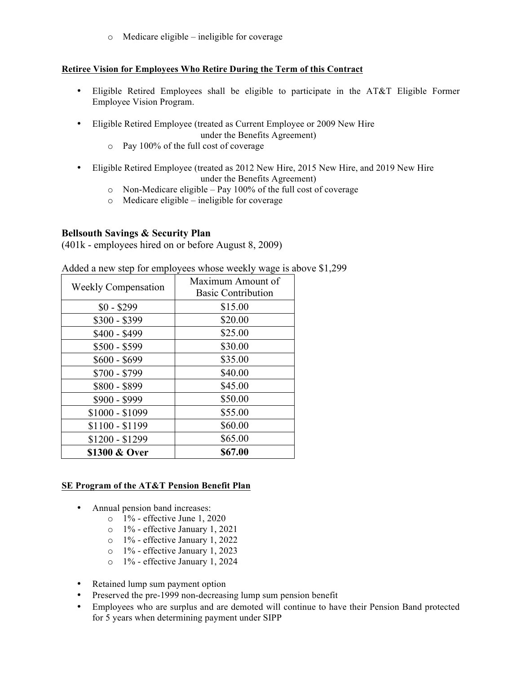o Medicare eligible – ineligible for coverage

## **Retiree Vision for Employees Who Retire During the Term of this Contract**

- Eligible Retired Employees shall be eligible to participate in the AT&T Eligible Former Employee Vision Program.
- Eligible Retired Employee (treated as Current Employee or 2009 New Hire under the Benefits Agreement)
	- o Pay 100% of the full cost of coverage
- Eligible Retired Employee (treated as 2012 New Hire, 2015 New Hire, and 2019 New Hire under the Benefits Agreement)
	- o Non-Medicare eligible Pay 100% of the full cost of coverage
	- o Medicare eligible ineligible for coverage

## **Bellsouth Savings & Security Plan**

(401k - employees hired on or before August 8, 2009)

| <b>Weekly Compensation</b> | Maximum Amount of<br><b>Basic Contribution</b> |
|----------------------------|------------------------------------------------|
| $$0 - $299$                | \$15.00                                        |
| $$300 - $399$              | \$20.00                                        |
| $$400 - $499$              | \$25.00                                        |
| $$500 - $599$              | \$30.00                                        |
| $$600 - $699$              | \$35.00                                        |
| $$700 - $799$              | \$40.00                                        |
| \$800 - \$899              | \$45.00                                        |
| \$900 - \$999              | \$50.00                                        |
| $$1000 - $1099$            | \$55.00                                        |
| $$1100 - $1199$            | \$60.00                                        |
| \$1200 - \$1299            | \$65.00                                        |
| \$1300 & Over              | \$67.00                                        |

Added a new step for employees whose weekly wage is above \$1,299

### **SE Program of the AT&T Pension Benefit Plan**

- Annual pension band increases:
	- o 1% effective June 1, 2020
	- o 1% effective January 1, 2021
	- o 1% effective January 1, 2022
	- o 1% effective January 1, 2023
	- o 1% effective January 1, 2024
- Retained lump sum payment option
- Preserved the pre-1999 non-decreasing lump sum pension benefit
- Employees who are surplus and are demoted will continue to have their Pension Band protected for 5 years when determining payment under SIPP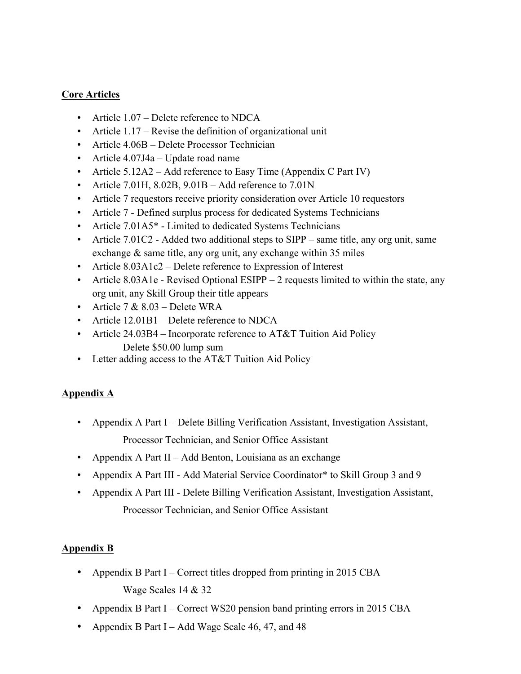# **Core Articles**

- Article 1.07 Delete reference to NDCA
- Article 1.17 Revise the definition of organizational unit
- Article 4.06B Delete Processor Technician
- Article 4.07J4a Update road name
- Article 5.12A2 Add reference to Easy Time (Appendix C Part IV)
- Article 7.01H, 8.02B,  $9.01B Add$  reference to  $7.01N$
- Article 7 requestors receive priority consideration over Article 10 requestors
- Article 7 Defined surplus process for dedicated Systems Technicians
- Article 7.01A5<sup>\*</sup> Limited to dedicated Systems Technicians
- Article 7.01C2 Added two additional steps to SIPP same title, any org unit, same exchange & same title, any org unit, any exchange within 35 miles
- Article 8.03A1c2 Delete reference to Expression of Interest
- Article 8.03A1e Revised Optional ESIPP 2 requests limited to within the state, any org unit, any Skill Group their title appears
- Article  $7 & 8.03$  Delete WRA
- Article 12.01B1 Delete reference to NDCA
- Article 24.03B4 Incorporate reference to AT&T Tuition Aid Policy Delete \$50.00 lump sum
- Letter adding access to the AT&T Tuition Aid Policy

# **Appendix A**

- Appendix A Part I Delete Billing Verification Assistant, Investigation Assistant, Processor Technician, and Senior Office Assistant
- Appendix A Part II Add Benton, Louisiana as an exchange
- Appendix A Part III Add Material Service Coordinator\* to Skill Group 3 and 9
- Appendix A Part III Delete Billing Verification Assistant, Investigation Assistant, Processor Technician, and Senior Office Assistant

# **Appendix B**

- Appendix B Part I Correct titles dropped from printing in 2015 CBA Wage Scales 14 & 32
- Appendix B Part I Correct WS20 pension band printing errors in 2015 CBA
- Appendix B Part I Add Wage Scale 46, 47, and 48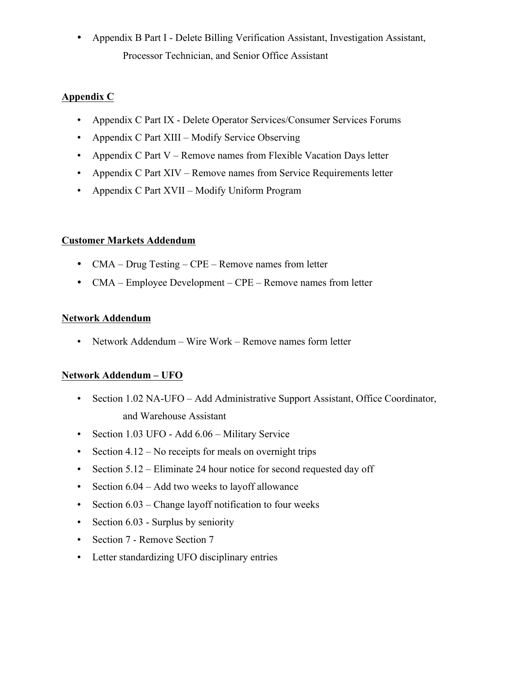• Appendix B Part I - Delete Billing Verification Assistant, Investigation Assistant, Processor Technician, and Senior Office Assistant

# **Appendix C**

- Appendix C Part IX Delete Operator Services/Consumer Services Forums
- Appendix C Part XIII Modify Service Observing
- Appendix C Part V Remove names from Flexible Vacation Days letter
- Appendix C Part XIV Remove names from Service Requirements letter
- Appendix C Part XVII Modify Uniform Program

## **Customer Markets Addendum**

- CMA Drug Testing CPE Remove names from letter
- CMA Employee Development CPE Remove names from letter

## **Network Addendum**

• Network Addendum – Wire Work – Remove names form letter

## **Network Addendum – UFO**

- Section 1.02 NA-UFO Add Administrative Support Assistant, Office Coordinator, and Warehouse Assistant
- Section 1.03 UFO Add 6.06 Military Service
- Section  $4.12$  No receipts for meals on overnight trips
- Section 5.12 Eliminate 24 hour notice for second requested day off
- Section 6.04 Add two weeks to layoff allowance
- Section 6.03 Change layoff notification to four weeks
- Section 6.03 Surplus by seniority
- Section 7 Remove Section 7
- Letter standardizing UFO disciplinary entries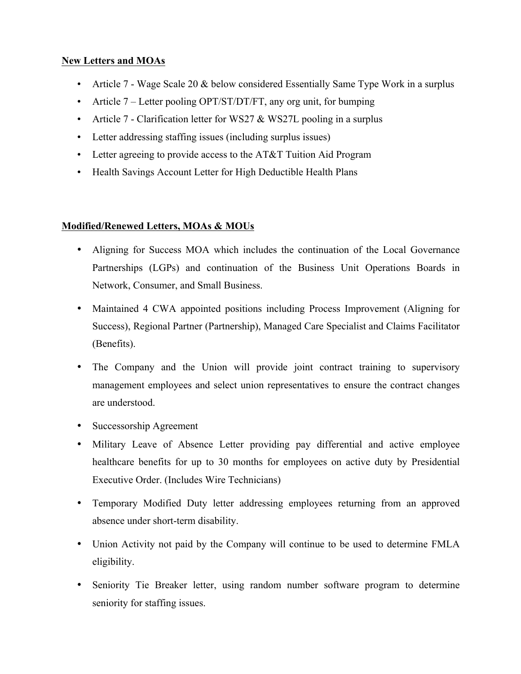# **New Letters and MOAs**

- Article 7 Wage Scale 20 & below considered Essentially Same Type Work in a surplus
- Article 7 Letter pooling OPT/ST/DT/FT, any org unit, for bumping
- Article 7 Clarification letter for WS27 & WS27L pooling in a surplus
- Letter addressing staffing issues (including surplus issues)
- Letter agreeing to provide access to the AT&T Tuition Aid Program
- Health Savings Account Letter for High Deductible Health Plans

## **Modified/Renewed Letters, MOAs & MOUs**

- Aligning for Success MOA which includes the continuation of the Local Governance Partnerships (LGPs) and continuation of the Business Unit Operations Boards in Network, Consumer, and Small Business.
- Maintained 4 CWA appointed positions including Process Improvement (Aligning for Success), Regional Partner (Partnership), Managed Care Specialist and Claims Facilitator (Benefits).
- The Company and the Union will provide joint contract training to supervisory management employees and select union representatives to ensure the contract changes are understood.
- Successorship Agreement
- Military Leave of Absence Letter providing pay differential and active employee healthcare benefits for up to 30 months for employees on active duty by Presidential Executive Order. (Includes Wire Technicians)
- Temporary Modified Duty letter addressing employees returning from an approved absence under short-term disability.
- Union Activity not paid by the Company will continue to be used to determine FMLA eligibility.
- Seniority Tie Breaker letter, using random number software program to determine seniority for staffing issues.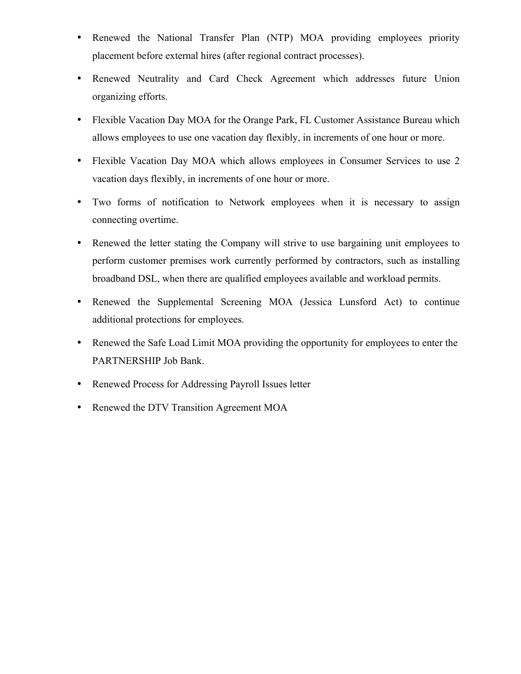- Renewed the National Transfer Plan (NTP) MOA providing employees priority placement before external hires (after regional contract processes).
- Renewed Neutrality and Card Check Agreement which addresses future Union organizing efforts.
- Flexible Vacation Day MOA for the Orange Park, FL Customer Assistance Bureau which allows employees to use one vacation day flexibly, in increments of one hour or more.
- Flexible Vacation Day MOA which allows employees in Consumer Services to use 2 vacation days flexibly, in increments of one hour or more.
- Two forms of notification to Network employees when it is necessary to assign connecting overtime.
- Renewed the letter stating the Company will strive to use bargaining unit employees to perform customer premises work currently performed by contractors, such as installing broadband DSL, when there are qualified employees available and workload permits.
- Renewed the Supplemental Screening MOA (Jessica Lunsford Act) to continue additional protections for employees.
- Renewed the Safe Load Limit MOA providing the opportunity for employees to enter the PARTNERSHIP Job Bank.
- Renewed Process for Addressing Payroll Issues letter
- Renewed the DTV Transition Agreement MOA